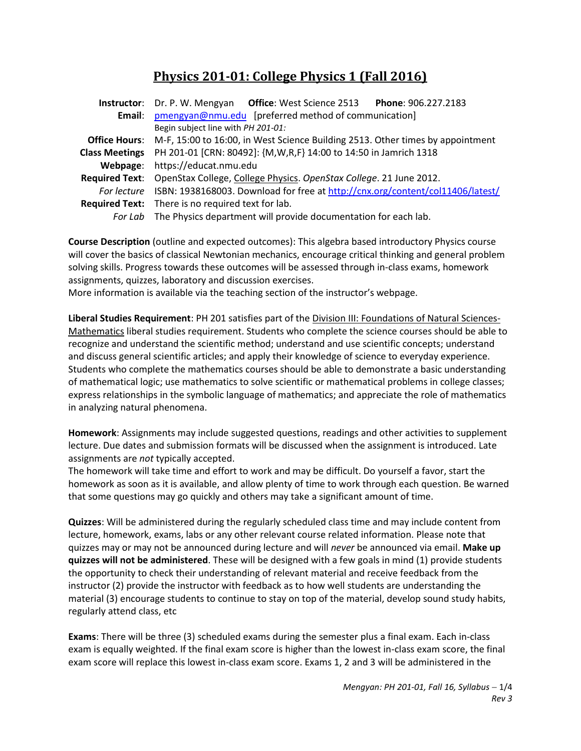# **Physics 201-01: College Physics 1 (Fall 2016)**

|                       | Instructor: Dr. P. W. Mengyan Office: West Science 2513 Phone: 906.227.2183                         |  |  |
|-----------------------|-----------------------------------------------------------------------------------------------------|--|--|
|                       | Email: pmengyan@nmu.edu [preferred method of communication]                                         |  |  |
|                       | Begin subject line with PH 201-01:                                                                  |  |  |
|                       | <b>Office Hours:</b> M-F, 15:00 to 16:00, in West Science Building 2513. Other times by appointment |  |  |
| <b>Class Meetings</b> | PH 201-01 [CRN: 80492]: {M, W, R, F} 14:00 to 14:50 in Jamrich 1318                                 |  |  |
|                       | Webpage: https://educat.nmu.edu                                                                     |  |  |
|                       | Required Text: OpenStax College, College Physics. OpenStax College. 21 June 2012.                   |  |  |
|                       | For lecture ISBN: 1938168003. Download for free at http://cnx.org/content/col11406/latest/          |  |  |
|                       | <b>Required Text:</b> There is no required text for lab.                                            |  |  |
|                       | For Lab The Physics department will provide documentation for each lab.                             |  |  |

**Course Description** (outline and expected outcomes): This algebra based introductory Physics course will cover the basics of classical Newtonian mechanics, encourage critical thinking and general problem solving skills. Progress towards these outcomes will be assessed through in-class exams, homework assignments, quizzes, laboratory and discussion exercises.

More information is available via the teaching section of the instructor's webpage.

**Liberal Studies Requirement**: PH 201 satisfies part of the Division III: Foundations of Natural Sciences-Mathematics liberal studies requirement. Students who complete the science courses should be able to recognize and understand the scientific method; understand and use scientific concepts; understand and discuss general scientific articles; and apply their knowledge of science to everyday experience. Students who complete the mathematics courses should be able to demonstrate a basic understanding of mathematical logic; use mathematics to solve scientific or mathematical problems in college classes; express relationships in the symbolic language of mathematics; and appreciate the role of mathematics in analyzing natural phenomena.

**Homework**: Assignments may include suggested questions, readings and other activities to supplement lecture. Due dates and submission formats will be discussed when the assignment is introduced. Late assignments are *not* typically accepted.

The homework will take time and effort to work and may be difficult. Do yourself a favor, start the homework as soon as it is available, and allow plenty of time to work through each question. Be warned that some questions may go quickly and others may take a significant amount of time.

**Quizzes**: Will be administered during the regularly scheduled class time and may include content from lecture, homework, exams, labs or any other relevant course related information. Please note that quizzes may or may not be announced during lecture and will *never* be announced via email. **Make up quizzes will not be administered**. These will be designed with a few goals in mind (1) provide students the opportunity to check their understanding of relevant material and receive feedback from the instructor (2) provide the instructor with feedback as to how well students are understanding the material (3) encourage students to continue to stay on top of the material, develop sound study habits, regularly attend class, etc

**Exams**: There will be three (3) scheduled exams during the semester plus a final exam. Each in-class exam is equally weighted. If the final exam score is higher than the lowest in-class exam score, the final exam score will replace this lowest in-class exam score. Exams 1, 2 and 3 will be administered in the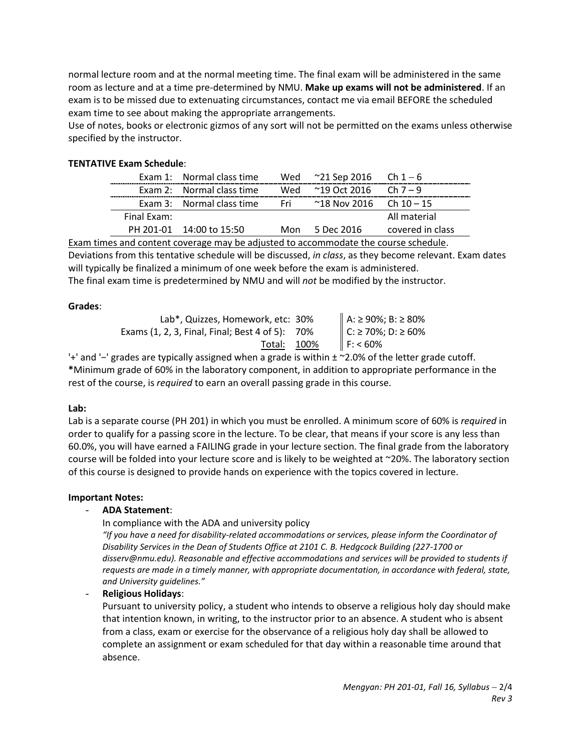normal lecture room and at the normal meeting time. The final exam will be administered in the same room as lecture and at a time pre-determined by NMU. **Make up exams will not be administered**. If an exam is to be missed due to extenuating circumstances, contact me via email BEFORE the scheduled exam time to see about making the appropriate arrangements.

Use of notes, books or electronic gizmos of any sort will not be permitted on the exams unless otherwise specified by the instructor.

## **TENTATIVE Exam Schedule**:

|             | Exam 1: Normal class time | Wed | $^{\sim}$ 21 Sep 2016 Ch 1 $-$ 6     |                  |
|-------------|---------------------------|-----|--------------------------------------|------------------|
|             | Exam 2: Normal class time |     | Wed $\approx$ 19 Oct 2016 Ch 7 – 9   |                  |
|             | Exam 3: Normal class time |     | Fri $\approx$ 18 Nov 2016 Ch 10 – 15 |                  |
| Final Exam: |                           |     |                                      | All material     |
|             | PH 201-01 14:00 to 15:50  | Mon | 5 Dec 2016                           | covered in class |

Exam times and content coverage may be adjusted to accommodate the course schedule. Deviations from this tentative schedule will be discussed, *in class*, as they become relevant. Exam dates will typically be finalized a minimum of one week before the exam is administered. The final exam time is predetermined by NMU and will *not* be modified by the instructor.

#### **Grades**:

Lab<sup>\*</sup>, Quizzes, Homework, etc: 30% Exams (1, 2, 3, Final, Final; Best 4 of 5):  $70\%$ Total: 100%

| A: ≥ 90%; B: ≥ 80%<br>C: ≥ 70%; D: ≥ 60%<br>F: < 60% |
|------------------------------------------------------|
|                                                      |
|                                                      |

'+' and '−' grades are typically assigned when a grade is within ± ~2.0% of the letter grade cutoff. **\***Minimum grade of 60% in the laboratory component, in addition to appropriate performance in the rest of the course, is *required* to earn an overall passing grade in this course.

#### **Lab:**

Lab is a separate course (PH 201) in which you must be enrolled. A minimum score of 60% is *required* in order to qualify for a passing score in the lecture. To be clear, that means if your score is any less than 60.0%, you will have earned a FAILING grade in your lecture section. The final grade from the laboratory course will be folded into your lecture score and is likely to be weighted at ~20%. The laboratory section of this course is designed to provide hands on experience with the topics covered in lecture.

#### **Important Notes:**

#### - **ADA Statement**:

In compliance with the ADA and university policy

*"If you have a need for disability-related accommodations or services, please inform the Coordinator of Disability Services in the Dean of Students Office at 2101 C. B. Hedgcock Building (227-1700 or disserv@nmu.edu). Reasonable and effective accommodations and services will be provided to students if requests are made in a timely manner, with appropriate documentation, in accordance with federal, state, and University guidelines."*

- **Religious Holidays**:

Pursuant to university policy, a student who intends to observe a religious holy day should make that intention known, in writing, to the instructor prior to an absence. A student who is absent from a class, exam or exercise for the observance of a religious holy day shall be allowed to complete an assignment or exam scheduled for that day within a reasonable time around that absence.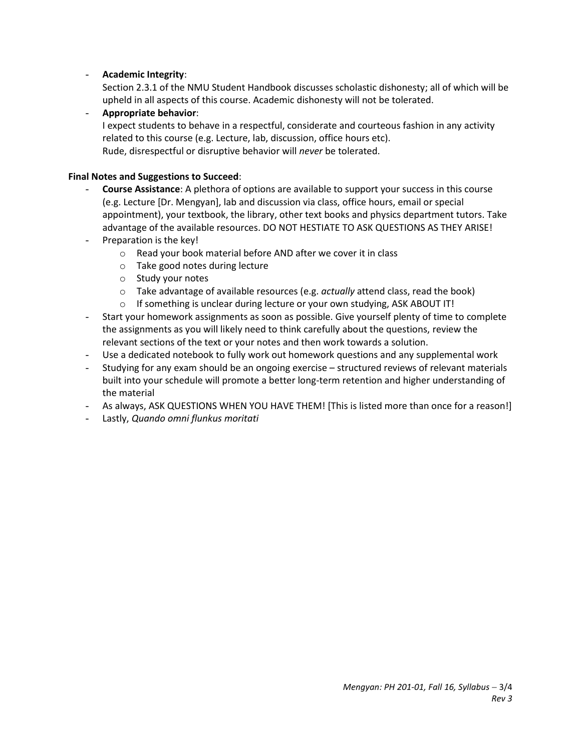## - **Academic Integrity**:

Section 2.3.1 of the NMU Student Handbook discusses scholastic dishonesty; all of which will be upheld in all aspects of this course. Academic dishonesty will not be tolerated.

- **Appropriate behavior**: I expect students to behave in a respectful, considerate and courteous fashion in any activity related to this course (e.g. Lecture, lab, discussion, office hours etc). Rude, disrespectful or disruptive behavior will *never* be tolerated.

### **Final Notes and Suggestions to Succeed**:

- **Course Assistance**: A plethora of options are available to support your success in this course (e.g. Lecture [Dr. Mengyan], lab and discussion via class, office hours, email or special appointment), your textbook, the library, other text books and physics department tutors. Take advantage of the available resources. DO NOT HESTIATE TO ASK QUESTIONS AS THEY ARISE!
- Preparation is the key!
	- o Read your book material before AND after we cover it in class
	- o Take good notes during lecture
	- o Study your notes
	- o Take advantage of available resources (e.g. *actually* attend class, read the book)
	- $\circ$  If something is unclear during lecture or your own studying, ASK ABOUT IT!
- Start your homework assignments as soon as possible. Give yourself plenty of time to complete the assignments as you will likely need to think carefully about the questions, review the relevant sections of the text or your notes and then work towards a solution.
- Use a dedicated notebook to fully work out homework questions and any supplemental work
- Studying for any exam should be an ongoing exercise structured reviews of relevant materials built into your schedule will promote a better long-term retention and higher understanding of the material
- As always, ASK QUESTIONS WHEN YOU HAVE THEM! [This is listed more than once for a reason!]
- Lastly, *Quando omni flunkus moritati*